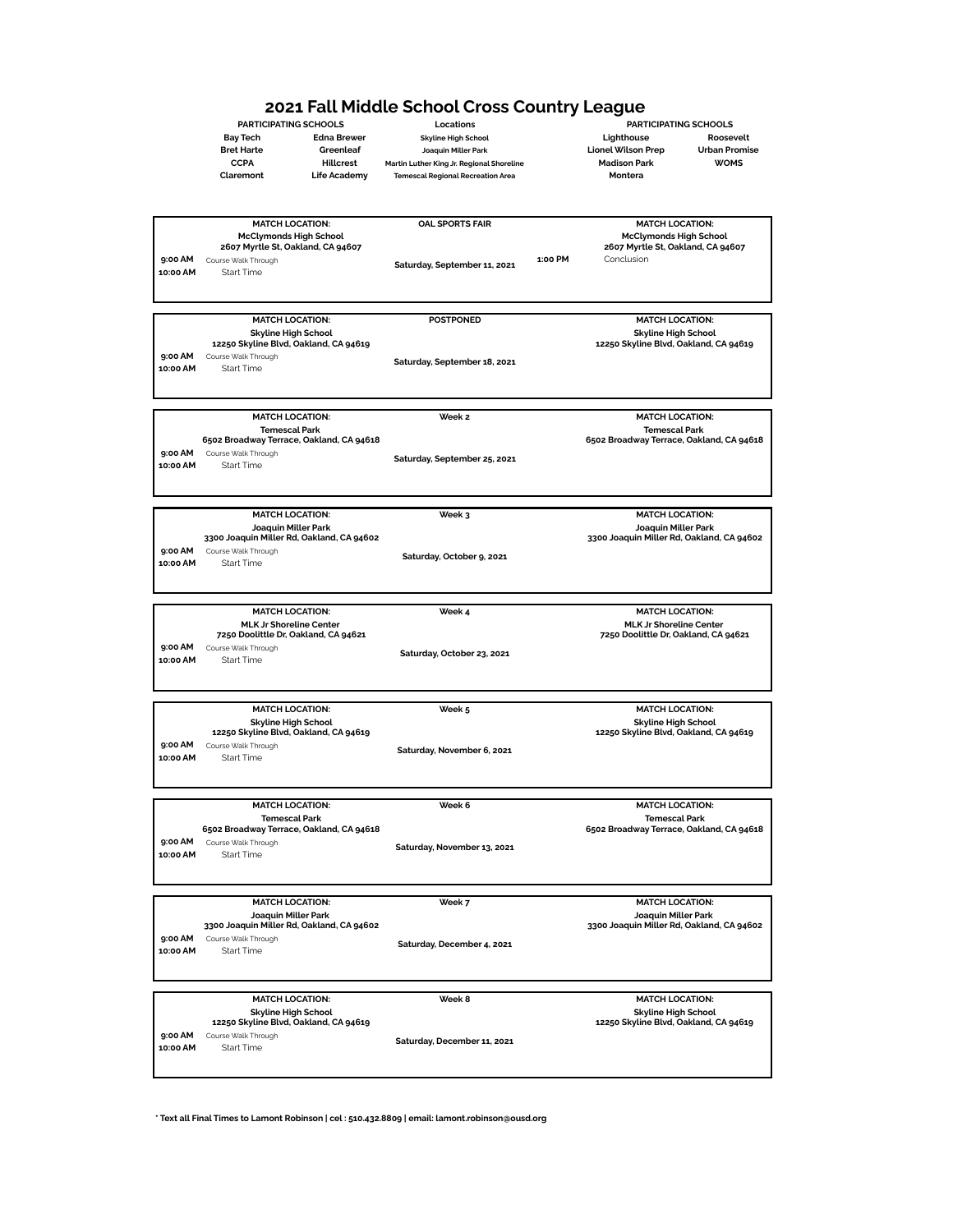# **2021 Fall Middle School Cross Country League**<br>
PARTICIPATING SCHOOLS Locations<br>
<sub>Skyline High School</sub> Edina Brewer skyline High School Lighthouse

**Bay Tech Edna Brewer Skyline High School Lighthouse Roosevelt Bret Harte Greenleaf Joaquin Miller Park Lionel Wilson Prep Urban Promise CCPA Hillcrest Martin Luther King Jr. Regional Shoreline Madison Park WOMS**

**Claremont Life Academy Temescal Regional Recreation Area Montera**

**PARTICIPATING SCHOOLS Locations PARTICIPATING SCHOOLS**

|          | <b>MATCH LOCATION:</b>                    | <b>OAL SPORTS FAIR</b>       |         | <b>MATCH LOCATION:</b>                                                 |
|----------|-------------------------------------------|------------------------------|---------|------------------------------------------------------------------------|
|          | <b>McClymonds High School</b>             |                              |         | <b>McClymonds High School</b>                                          |
|          | 2607 Myrtle St, Oakland, CA 94607         |                              |         | 2607 Myrtle St, Oakland, CA 94607                                      |
| 9:00 AM  | Course Walk Through                       | Saturday, September 11, 2021 | 1:00 PM | Conclusion                                                             |
| 10:00 AM | <b>Start Time</b>                         |                              |         |                                                                        |
|          |                                           |                              |         |                                                                        |
|          |                                           |                              |         |                                                                        |
|          |                                           |                              |         |                                                                        |
|          | <b>MATCH LOCATION:</b>                    | <b>POSTPONED</b>             |         | <b>MATCH LOCATION:</b>                                                 |
|          | <b>Skyline High School</b>                |                              |         | <b>Skyline High School</b>                                             |
|          | 12250 Skyline Blvd, Oakland, CA 94619     |                              |         | 12250 Skyline Blvd, Oakland, CA 94619                                  |
| 9:00 AM  | Course Walk Through                       | Saturday, September 18, 2021 |         |                                                                        |
| 10:00 AM | <b>Start Time</b>                         |                              |         |                                                                        |
|          |                                           |                              |         |                                                                        |
|          |                                           |                              |         |                                                                        |
|          | <b>MATCH LOCATION:</b>                    | Week 2                       |         | <b>MATCH LOCATION:</b>                                                 |
|          | <b>Temescal Park</b>                      |                              |         | <b>Temescal Park</b>                                                   |
|          | 6502 Broadway Terrace, Oakland, CA 94618  |                              |         | 6502 Broadway Terrace, Oakland, CA 94618                               |
| 9:00 AM  | Course Walk Through                       |                              |         |                                                                        |
| 10:00 AM | <b>Start Time</b>                         | Saturday, September 25, 2021 |         |                                                                        |
|          |                                           |                              |         |                                                                        |
|          |                                           |                              |         |                                                                        |
|          |                                           |                              |         |                                                                        |
|          | <b>MATCH LOCATION:</b>                    | Week 3                       |         | <b>MATCH LOCATION:</b>                                                 |
|          | Joaquin Miller Park                       |                              |         | Joaquin Miller Park                                                    |
|          | 3300 Joaquin Miller Rd, Oakland, CA 94602 |                              |         | 3300 Joaquin Miller Rd, Oakland, CA 94602                              |
| 9:00 AM  | Course Walk Through                       | Saturday, October 9, 2021    |         |                                                                        |
| 10:00 AM | <b>Start Time</b>                         |                              |         |                                                                        |
|          |                                           |                              |         |                                                                        |
|          |                                           |                              |         |                                                                        |
|          | <b>MATCH LOCATION:</b>                    | Week 4                       |         | <b>MATCH LOCATION:</b>                                                 |
|          | <b>MLK Jr Shoreline Center</b>            |                              |         |                                                                        |
|          | 7250 Doolittle Dr, Oakland, CA 94621      |                              |         | <b>MLK Jr Shoreline Center</b><br>7250 Doolittle Dr, Oakland, CA 94621 |
| 9:00 AM  | Course Walk Through                       |                              |         |                                                                        |
| 10:00 AM | <b>Start Time</b>                         | Saturday, October 23, 2021   |         |                                                                        |
|          |                                           |                              |         |                                                                        |
|          |                                           |                              |         |                                                                        |
|          |                                           |                              |         |                                                                        |
|          | <b>MATCH LOCATION:</b>                    | Week 5                       |         | <b>MATCH LOCATION:</b>                                                 |
|          | <b>Skyline High School</b>                |                              |         | Skyline High School                                                    |
|          | 12250 Skyline Blvd, Oakland, CA 94619     |                              |         | 12250 Skyline Blvd, Oakland, CA 94619                                  |
| 9:00 AM  | Course Walk Through                       | Saturday, November 6, 2021   |         |                                                                        |
| 10:00 AM | <b>Start Time</b>                         |                              |         |                                                                        |
|          |                                           |                              |         |                                                                        |
|          |                                           |                              |         |                                                                        |
|          | <b>MATCH LOCATION:</b>                    | Week 6                       |         | <b>MATCH LOCATION:</b>                                                 |
|          | <b>Temescal Park</b>                      |                              |         | <b>Temescal Park</b>                                                   |
|          | 6502 Broadway Terrace, Oakland, CA 94618  |                              |         | 6502 Broadway Terrace, Oakland, CA 94618                               |
| 9:00 AM  | Course Walk Through                       |                              |         |                                                                        |
| 10:00 AM | <b>Start Time</b>                         | Saturday, November 13, 2021  |         |                                                                        |
|          |                                           |                              |         |                                                                        |
|          |                                           |                              |         |                                                                        |
|          |                                           |                              |         |                                                                        |
|          | <b>MATCH LOCATION:</b>                    | Week 7                       |         | <b>MATCH LOCATION:</b>                                                 |
|          | Joaquin Miller Park                       |                              |         | Joaquin Miller Park                                                    |
|          | 3300 Joaquin Miller Rd, Oakland, CA 94602 |                              |         | 3300 Joaquin Miller Rd, Oakland, CA 94602                              |
| 9:00 AM  | Course Walk Through                       | Saturday, December 4, 2021   |         |                                                                        |
| 10:00 AM | <b>Start Time</b>                         |                              |         |                                                                        |
|          |                                           |                              |         |                                                                        |
|          |                                           |                              |         |                                                                        |
|          | <b>MATCH LOCATION:</b>                    | Week 8                       |         | <b>MATCH LOCATION:</b>                                                 |
|          | <b>Skyline High School</b>                |                              |         | <b>Skyline High School</b>                                             |
|          | 12250 Skyline Blvd, Oakland, CA 94619     |                              |         | 12250 Skyline Blvd, Oakland, CA 94619                                  |
| 9:00 AM  | Course Walk Through                       | Saturday, December 11, 2021  |         |                                                                        |
|          |                                           |                              |         |                                                                        |
| 10:00 AM | <b>Start Time</b>                         |                              |         |                                                                        |
|          |                                           |                              |         |                                                                        |

**\* Text all Final Times to Lamont Robinson | cel : 510.432.8809 | email: lamont.robinson@ousd.org**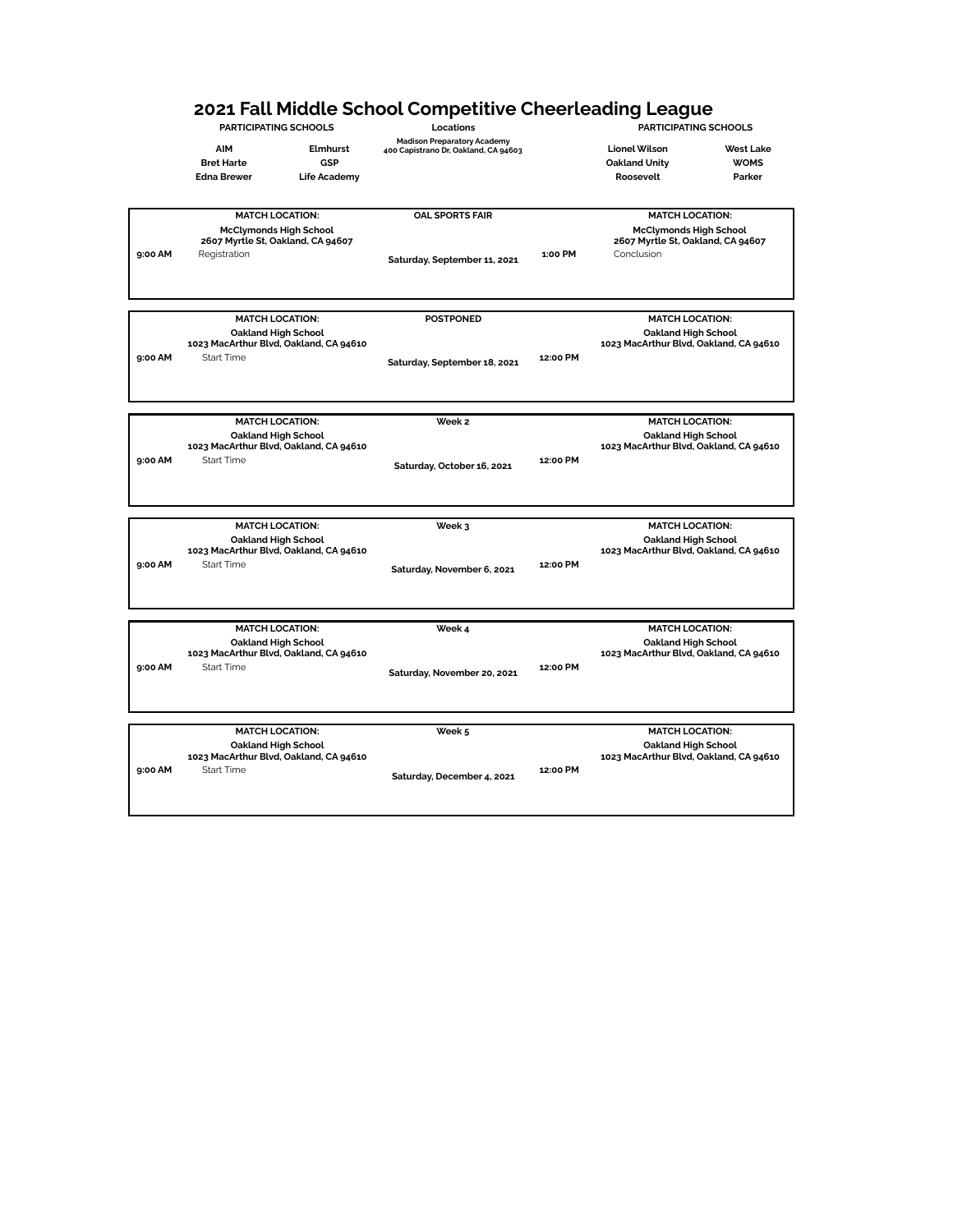# **2021 Fall Middle School Competitive Cheerleading League**

**PARTICIPATING SCHOOLS Locations PARTICIPATING SCHOOLS AIM Elmhurst Madison Preparatory Academy 400 Capistrano Dr, Oakland, CA 94603 Lionel Wilson West Lake Bret Harte GSP Oakland Unity WOMS Edna Brewer Life Academy Roosevelt Parker MATCH LOCATION: OAL SPORTS FAIR MATCH LOCATION: McClymonds High School 2607 Myrtle St, Oakland, CA 94607 Saturday, September 11, 2021 9:00 AM** Registration **1:00 PM** Conclusion **McClymonds High School 2607 Myrtle St, Oakland, CA 94607**

|         | <b>MATCH LOCATION:</b><br>Oakland High School<br>1023 MacArthur Blvd, Oakland, CA 94610 | <b>POSTPONED</b>             |          | <b>MATCH LOCATION:</b><br>Oakland High School<br>1023 MacArthur Blvd, Oakland, CA 94610 |
|---------|-----------------------------------------------------------------------------------------|------------------------------|----------|-----------------------------------------------------------------------------------------|
| 9:00 AM | Start Time                                                                              | Saturday, September 18, 2021 | 12:00 PM |                                                                                         |
|         | <b>MATCH LOCATION:</b>                                                                  | Week 2                       |          | <b>MATCH LOCATION:</b>                                                                  |
|         | Oakland High School<br>1023 MacArthur Blvd, Oakland, CA 94610                           |                              |          | Oakland High School<br>1023 MacArthur Blvd, Oakland, CA 94610                           |
| 9:00 AM | Start Time                                                                              | Saturday, October 16, 2021   | 12:00 PM |                                                                                         |
|         | <b>MATCH LOCATION:</b>                                                                  | Week 3                       |          | <b>MATCH LOCATION:</b>                                                                  |
|         | Oakland High School                                                                     |                              |          | Oakland High School                                                                     |

**Saturday, November 6, 2021 9:00 AM** Start Time **12:00 PM**

**MATCH LOCATION: Week 4 MATCH LOCATION: Oakland High School 1023 MacArthur Blvd, Oakland, CA 94610 Saturday, November 20, 2021 9:00 AM** Start Time **12:00 PM Oakland High School 1023 MacArthur Blvd, Oakland, CA 94610**

|         | <b>MATCH LOCATION:</b>                                        | Week 5                     |          | <b>MATCH LOCATION:</b>                                        |
|---------|---------------------------------------------------------------|----------------------------|----------|---------------------------------------------------------------|
|         | Oakland High School<br>1023 MacArthur Blvd, Oakland, CA 94610 |                            |          | Oakland High School<br>1023 MacArthur Blvd, Oakland, CA 94610 |
| 9:00 AM | Start Time                                                    | Saturday, December 4, 2021 | 12:00 PM |                                                               |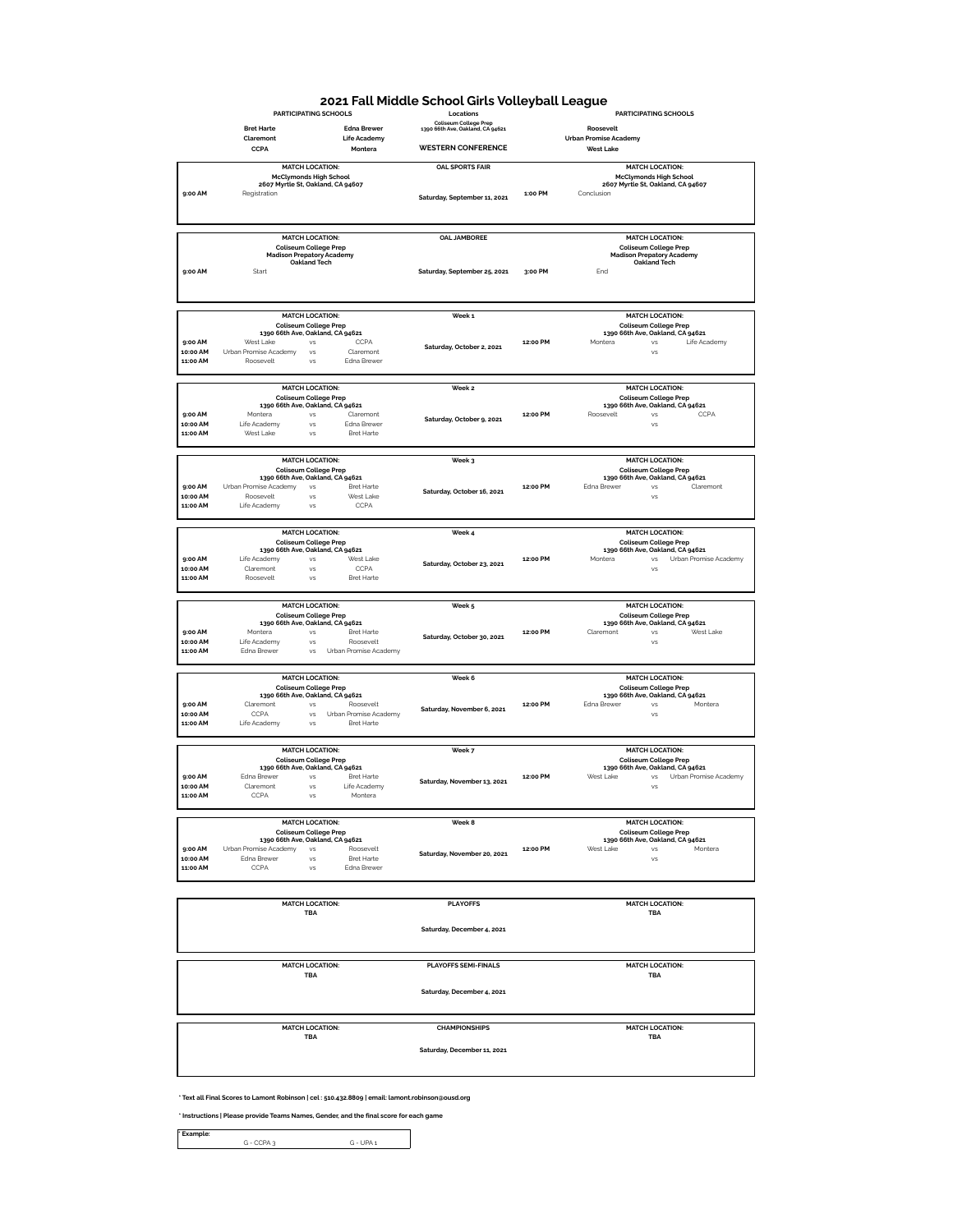#### **2021 Fall Middle School Girls Volleyball League**

|                      | <b>Bret Harte</b>                                                |                        | <b>Edna Brewer</b>                         | <b>Coliseum College Prep</b><br>1390 66th Ave, Oakland, CA 94621 |          | Roosevelt                                                        |
|----------------------|------------------------------------------------------------------|------------------------|--------------------------------------------|------------------------------------------------------------------|----------|------------------------------------------------------------------|
|                      | Claremont                                                        |                        | <b>Life Academy</b>                        |                                                                  |          | <b>Urban Promise Academy</b>                                     |
|                      | CCPA                                                             |                        | Montera                                    | <b>WESTERN CONFERENCE</b>                                        |          | <b>West Lake</b>                                                 |
|                      |                                                                  |                        |                                            | <b>OAL SPORTS FAIR</b>                                           |          |                                                                  |
|                      | <b>McClymonds High School</b>                                    | <b>MATCH LOCATION:</b> |                                            |                                                                  |          | <b>MATCH LOCATION:</b><br><b>McClymonds High School</b>          |
|                      | 2607 Myrtle St, Oakland, CA 94607                                |                        |                                            |                                                                  |          | 2607 Myrtle St, Oakland, CA 94607                                |
| 9:00 AM              | Registration                                                     |                        |                                            | Saturday, September 11, 2021                                     | 1:00 PM  | Conclusion                                                       |
|                      |                                                                  |                        |                                            |                                                                  |          |                                                                  |
|                      |                                                                  |                        |                                            |                                                                  |          |                                                                  |
|                      |                                                                  |                        |                                            |                                                                  |          |                                                                  |
|                      |                                                                  | <b>MATCH LOCATION:</b> |                                            | <b>OAL JAMBOREE</b>                                              |          | <b>MATCH LOCATION:</b>                                           |
|                      | <b>Coliseum College Prep</b>                                     |                        |                                            |                                                                  |          | Coliseum College Prep                                            |
|                      | <b>Madison Prepatory Academy</b>                                 | <b>Oakland Tech</b>    |                                            |                                                                  |          | <b>Madison Prepatory Academy</b><br><b>Oakland Tech</b>          |
| 9:00 AM              | Start                                                            |                        |                                            | Saturday, September 25, 2021                                     | 3:00 PM  | End                                                              |
|                      |                                                                  |                        |                                            |                                                                  |          |                                                                  |
|                      |                                                                  |                        |                                            |                                                                  |          |                                                                  |
|                      |                                                                  |                        |                                            |                                                                  |          |                                                                  |
|                      |                                                                  | <b>MATCH LOCATION:</b> |                                            | Week 1                                                           |          | <b>MATCH LOCATION:</b>                                           |
|                      | <b>Coliseum College Prep</b>                                     |                        |                                            |                                                                  |          | <b>Coliseum College Prep</b>                                     |
|                      | 1390 66th Ave, Oakland, CA 94621                                 |                        |                                            |                                                                  |          | 1390 66th Ave, Oakland, CA 94621                                 |
| 9:00 AM              | West Lake                                                        | vs                     | CCPA                                       | Saturday, October 2, 2021                                        | 12:00 PM | Montera<br><b>VS</b><br>Life Academy                             |
| 10:00 AM<br>11:00 AM | Urban Promise Academy<br>Roosevelt                               | vs<br>vs               | Claremont<br>Edna Brewer                   |                                                                  |          | <b>VS</b>                                                        |
|                      |                                                                  |                        |                                            |                                                                  |          |                                                                  |
|                      |                                                                  |                        |                                            |                                                                  |          |                                                                  |
|                      |                                                                  | <b>MATCH LOCATION:</b> |                                            | Week 2                                                           |          | <b>MATCH LOCATION:</b>                                           |
|                      | <b>Coliseum College Prep</b>                                     |                        |                                            |                                                                  |          | <b>Coliseum College Prep</b>                                     |
| 9:00 AM              | 1390 66th Ave, Oakland, CA 94621<br>Montera                      | vs                     | Claremont                                  |                                                                  | 12:00 PM | 1390 66th Ave, Oakland, CA 94621<br>Roosevelt<br>vs<br>CCPA      |
| 10:00 AM             | Life Academy                                                     | vs                     | Edna Brewer                                | Saturday, October 9, 2021                                        |          | <b>VS</b>                                                        |
| 11:00 AM             | West Lake                                                        | vs                     | <b>Bret Harte</b>                          |                                                                  |          |                                                                  |
|                      |                                                                  |                        |                                            |                                                                  |          |                                                                  |
|                      |                                                                  |                        |                                            |                                                                  |          |                                                                  |
|                      |                                                                  | <b>MATCH LOCATION:</b> |                                            | Week 3                                                           |          | <b>MATCH LOCATION:</b>                                           |
|                      | <b>Coliseum College Prep</b><br>1390 66th Ave, Oakland, CA 94621 |                        |                                            |                                                                  |          | <b>Coliseum College Prep</b><br>1390 66th Ave, Oakland, CA 94621 |
| 9:00 AM              | Urban Promise Academy                                            | vs                     | Bret Harte                                 |                                                                  | 12:00 PM | Edna Brewer<br><b>VS</b><br>Claremont                            |
| 10:00 AM             | Roosevelt                                                        | vs                     | West Lake                                  | Saturday, October 16, 2021                                       |          | <b>VS</b>                                                        |
| 11:00 AM             | Life Academy                                                     | vs                     | CCPA                                       |                                                                  |          |                                                                  |
|                      |                                                                  |                        |                                            |                                                                  |          |                                                                  |
|                      |                                                                  | <b>MATCH LOCATION:</b> |                                            | Week 4                                                           |          | <b>MATCH LOCATION:</b>                                           |
|                      | <b>Coliseum College Prep</b>                                     |                        |                                            |                                                                  |          | <b>Coliseum College Prep</b>                                     |
|                      | 1390 66th Ave, Oakland, CA 94621                                 |                        |                                            |                                                                  |          | 1390 66th Ave, Oakland, CA 94621                                 |
| 9:00 AM              | Life Academy                                                     | vs                     | West Lake                                  | Saturday, October 23, 2021                                       | 12:00 PM | Urban Promise Academy<br>Montera<br>VS                           |
| 10:00 AM             | Claremont                                                        | vs                     | CCPA                                       |                                                                  |          | <b>VS</b>                                                        |
| 11:00 AM             | Roosevelt                                                        | vs                     | <b>Bret Harte</b>                          |                                                                  |          |                                                                  |
|                      |                                                                  |                        |                                            |                                                                  |          |                                                                  |
|                      |                                                                  | <b>MATCH LOCATION:</b> |                                            | Week 5                                                           |          | <b>MATCH LOCATION:</b>                                           |
|                      |                                                                  |                        |                                            |                                                                  |          | <b>Coliseum College Prep</b>                                     |
|                      | <b>Coliseum College Prep</b>                                     |                        |                                            |                                                                  |          |                                                                  |
|                      | 1390 66th Ave, Oakland, CA 94621                                 |                        |                                            |                                                                  |          | 1390 66th Ave, Oakland, CA 94621                                 |
| 9:00 AM              | Montera                                                          | <b>VS</b>              | <b>Bret Harte</b>                          | Saturday, October 30, 2021                                       | 12:00 PM | Claremont<br>West Lake<br>VS                                     |
| 10:00 AM             | Life Academy                                                     | vs                     | Roosevelt                                  |                                                                  |          | <b>VS</b>                                                        |
| 11:00 AM             | Edna Brewer                                                      | <b>VS</b>              | Urban Promise Academy                      |                                                                  |          |                                                                  |
|                      |                                                                  |                        |                                            |                                                                  |          |                                                                  |
|                      |                                                                  | <b>MATCH LOCATION:</b> |                                            | Week 6                                                           |          | <b>MATCH LOCATION:</b>                                           |
|                      | <b>Coliseum College Prep</b>                                     |                        |                                            |                                                                  |          | <b>Coliseum College Prep</b>                                     |
|                      | 1390 66th Ave, Oakland, CA 94621                                 |                        |                                            |                                                                  |          | 1390 66th Ave, Oakland, CA 94621                                 |
| 9:00 AM              | Claremont                                                        | vs<br>vs               | Roosevelt                                  | Saturday, November 6, 2021                                       | 12:00 PM | Edna Brewer<br>Montera<br><b>VS</b>                              |
| 10:00 AM<br>11:00 AM | CCPA<br>Life Academy                                             | vs                     | Urban Promise Academy<br><b>Bret Harte</b> |                                                                  |          | vs                                                               |
|                      |                                                                  |                        |                                            |                                                                  |          |                                                                  |
|                      |                                                                  |                        |                                            |                                                                  |          |                                                                  |
|                      |                                                                  | <b>MATCH LOCATION:</b> |                                            | Week 7                                                           |          | <b>MATCH LOCATION:</b>                                           |
|                      | <b>Coliseum College Prep</b><br>1390 66th Ave, Oakland, CA 94621 |                        |                                            |                                                                  |          | <b>Coliseum College Prep</b><br>1390 66th Ave, Oakland, CA 94621 |
| 9:00 AM              | Edna Brewer                                                      | vs                     | <b>Bret Harte</b>                          |                                                                  | 12:00 PM | West Lake<br>Urban Promise Academy<br><b>VS</b>                  |
| 10:00 AM             | Claremont                                                        | vs                     | Life Academy                               | Saturday, November 13, 2021                                      |          | VS                                                               |
| 11:00 AM             | CCPA                                                             | vs                     | Montera                                    |                                                                  |          |                                                                  |
|                      |                                                                  |                        |                                            |                                                                  |          |                                                                  |
|                      |                                                                  | <b>MATCH LOCATION:</b> |                                            | Week 8                                                           |          | <b>MATCH LOCATION:</b>                                           |
|                      | <b>Coliseum College Prep</b>                                     |                        |                                            |                                                                  |          | <b>Coliseum College Prep</b>                                     |
|                      | 1390 66th Ave, Oakland, CA 94621                                 |                        |                                            |                                                                  |          | 1390 66th Ave, Oakland, CA 94621                                 |
| 9:00 AM              | Urban Promise Academy                                            | VS                     | Roosevelt                                  | Saturday, November 20, 2021                                      | 12:00 PM | West Lake<br>Montera<br>vs                                       |
| 10:00 AM             | Edna Brewer                                                      | vs                     | <b>Bret Harte</b>                          |                                                                  |          | vs                                                               |
| 11:00 AM             | CCPA                                                             | <b>VS</b>              | Edna Brewer                                |                                                                  |          |                                                                  |
|                      |                                                                  |                        |                                            |                                                                  |          |                                                                  |
|                      |                                                                  |                        |                                            |                                                                  |          |                                                                  |
|                      |                                                                  | <b>MATCH LOCATION:</b> |                                            | <b>PLAYOFFS</b>                                                  |          | <b>MATCH LOCATION:</b>                                           |
|                      |                                                                  | <b>TBA</b>             |                                            |                                                                  |          | <b>TBA</b>                                                       |
|                      |                                                                  |                        |                                            | Saturday, December 4, 2021                                       |          |                                                                  |
|                      |                                                                  |                        |                                            |                                                                  |          |                                                                  |
|                      |                                                                  |                        |                                            |                                                                  |          |                                                                  |
|                      |                                                                  |                        |                                            |                                                                  |          |                                                                  |
|                      |                                                                  | <b>MATCH LOCATION:</b> |                                            | <b>PLAYOFFS SEMI-FINALS</b>                                      |          | <b>MATCH LOCATION:</b>                                           |
|                      |                                                                  | TBA                    |                                            |                                                                  |          | TBA                                                              |
|                      |                                                                  |                        |                                            | Saturday, December 4, 2021                                       |          |                                                                  |
|                      |                                                                  |                        |                                            |                                                                  |          |                                                                  |
|                      |                                                                  |                        |                                            |                                                                  |          |                                                                  |
|                      |                                                                  |                        |                                            |                                                                  |          |                                                                  |
|                      |                                                                  | <b>MATCH LOCATION:</b> |                                            | <b>CHAMPIONSHIPS</b>                                             |          | <b>MATCH LOCATION:</b>                                           |
|                      |                                                                  | TBA                    |                                            |                                                                  |          | TBA                                                              |
|                      |                                                                  |                        |                                            | Saturday, December 11, 2021                                      |          |                                                                  |
|                      |                                                                  |                        |                                            |                                                                  |          |                                                                  |

**\* Text all Final Scores to Lamont Robinson | cel : 510.432.8809 | email: lamont.robinson@ousd.org** 

**\* Instructions | Please provide Teams Names, Gender, and the final score for each game**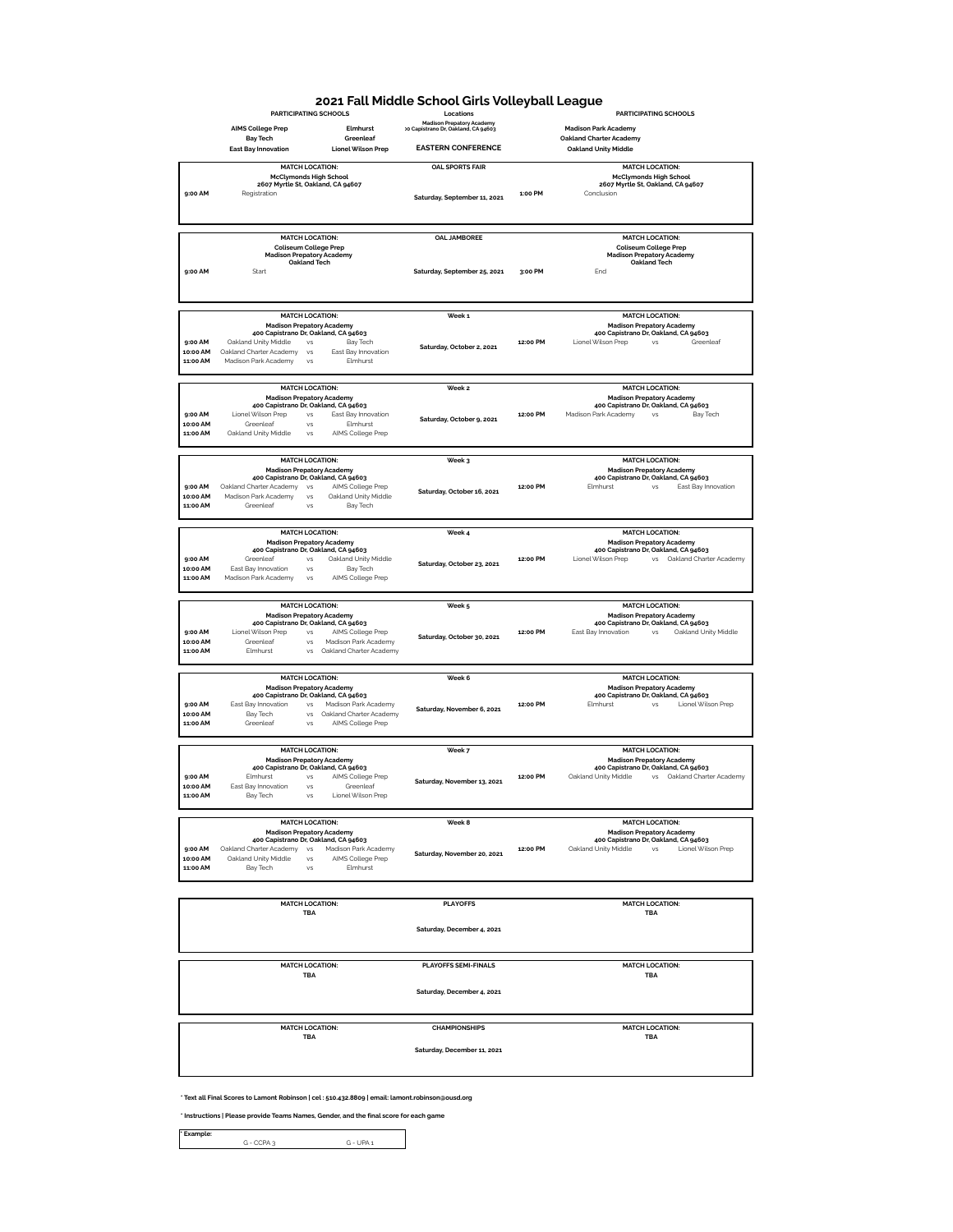# **2021 Fall Middle School Girls Volleyball League**

|                      | <b>PARTICIPATING SCHOOLS</b>                                                           | Locations                                                               |          | <b>PARTICIPATING SCHOOLS</b>                                                             |
|----------------------|----------------------------------------------------------------------------------------|-------------------------------------------------------------------------|----------|------------------------------------------------------------------------------------------|
|                      | <b>AIMS College Prep</b><br>Elmhurst                                                   | <b>Madison Prepatory Academy</b><br>10 Capistrano Dr, Oakland, CA 94603 |          | <b>Madison Park Academy</b>                                                              |
|                      | Greenleaf<br><b>Bay Tech</b>                                                           |                                                                         |          | <b>Oakland Charter Academy</b>                                                           |
|                      | <b>Lionel Wilson Prep</b><br><b>East Bay Innovation</b>                                | <b>EASTERN CONFERENCE</b>                                               |          | <b>Oakland Unity Middle</b>                                                              |
|                      | <b>MATCH LOCATION:</b>                                                                 | <b>OAL SPORTS FAIR</b>                                                  |          | <b>MATCH LOCATION:</b>                                                                   |
|                      | <b>McClymonds High School</b>                                                          |                                                                         |          | <b>McClymonds High School</b>                                                            |
| 9:00 AM              | 2607 Myrtle St, Oakland, CA 94607<br>Registration                                      |                                                                         | 1:00 PM  | 2607 Myrtle St, Oakland, CA 94607<br>Conclusion                                          |
|                      |                                                                                        | Saturday, September 11, 2021                                            |          |                                                                                          |
|                      |                                                                                        |                                                                         |          |                                                                                          |
|                      |                                                                                        |                                                                         |          |                                                                                          |
|                      | <b>MATCH LOCATION:</b>                                                                 | <b>OAL JAMBOREE</b>                                                     |          | <b>MATCH LOCATION:</b>                                                                   |
|                      | <b>Coliseum College Prep</b>                                                           |                                                                         |          | <b>Coliseum College Prep</b>                                                             |
|                      | <b>Madison Prepatory Academy</b><br><b>Oakland Tech</b>                                |                                                                         |          | <b>Madison Prepatory Academy</b><br><b>Oakland Tech</b>                                  |
| 9:00 AM              | Start                                                                                  | Saturday, September 25, 2021                                            | 3:00 PM  | End                                                                                      |
|                      |                                                                                        |                                                                         |          |                                                                                          |
|                      |                                                                                        |                                                                         |          |                                                                                          |
|                      |                                                                                        |                                                                         |          |                                                                                          |
|                      | <b>MATCH LOCATION:</b>                                                                 | Week <sub>1</sub>                                                       |          | <b>MATCH LOCATION:</b>                                                                   |
|                      | <b>Madison Prepatory Academy</b><br>400 Capistrano Dr, Oakland, CA 94603               |                                                                         |          | <b>Madison Prepatory Academy</b><br>400 Capistrano Dr, Oakland, CA 94603                 |
| 9:00 AM              | Oakland Unity Middle<br>VS<br>Bay Tech                                                 | Saturday, October 2, 2021                                               | 12:00 PM | Lionel Wilson Prep<br><b>VS</b><br>Greenleaf                                             |
| 10:00 AM             | East Bay Innovation<br>Oakland Charter Academy<br>VS                                   |                                                                         |          |                                                                                          |
| 11:00 AM             | Elmhurst<br>Madison Park Academy<br>VS                                                 |                                                                         |          |                                                                                          |
|                      |                                                                                        |                                                                         |          |                                                                                          |
|                      | <b>MATCH LOCATION:</b>                                                                 | Week 2                                                                  |          | <b>MATCH LOCATION:</b>                                                                   |
|                      | <b>Madison Prepatory Academy</b><br>400 Capistrano Dr, Oakland, CA 94603               |                                                                         |          | <b>Madison Prepatory Academy</b><br>400 Capistrano Dr, Oakland, CA 94603                 |
| 9:00 AM              | Lionel Wilson Prep<br>East Bay Innovation<br>VS                                        |                                                                         | 12:00 PM | Madison Park Academy<br>VS<br>Bay Tech                                                   |
| 10:00 AM             | Elmhurst<br>Greenleaf<br>VS                                                            | Saturday, October 9, 2021                                               |          |                                                                                          |
| 11:00 AM             | Oakland Unity Middle<br>AIMS College Prep<br><b>VS</b>                                 |                                                                         |          |                                                                                          |
|                      |                                                                                        |                                                                         |          |                                                                                          |
|                      | <b>MATCH LOCATION:</b>                                                                 | Week 3                                                                  |          | <b>MATCH LOCATION:</b>                                                                   |
|                      | <b>Madison Prepatory Academy</b><br>400 Capistrano Dr, Oakland, CA 94603               |                                                                         |          | <b>Madison Prepatory Academy</b><br>400 Capistrano Dr, Oakland, CA 94603                 |
| 9:00 AM              | Oakland Charter Academy<br>VS<br>AIMS College Prep                                     |                                                                         | 12:00 PM | Fimhurst<br><b>VS</b><br>East Bay Innovation                                             |
| 10:00 AM             | Madison Park Academy<br>Oakland Unity Middle<br>VS                                     | Saturday, October 16, 2021                                              |          |                                                                                          |
| 11:00 AM             | Bay Tech<br>Greenleaf<br><b>VS</b>                                                     |                                                                         |          |                                                                                          |
|                      |                                                                                        |                                                                         |          |                                                                                          |
|                      | <b>MATCH LOCATION:</b>                                                                 | Week 4                                                                  |          | <b>MATCH LOCATION:</b>                                                                   |
|                      | <b>Madison Prepatory Academy</b>                                                       |                                                                         |          | <b>Madison Prepatory Academy</b>                                                         |
| 9:00 AM              | 400 Capistrano Dr, Oakland, CA 94603<br>Oakland Unity Middle<br>Greenleaf<br><b>VS</b> |                                                                         | 12:00 PM | 400 Capistrano Dr, Oakland, CA 94603<br>Lionel Wilson Prep<br>vs Oakland Charter Academy |
| 10:00 AM             | East Bay Innovation<br>VS<br>Bay Tech                                                  | Saturday, October 23, 2021                                              |          |                                                                                          |
| 11:00 AM             | Madison Park Academy<br><b>VS</b><br>AIMS College Prep                                 |                                                                         |          |                                                                                          |
|                      |                                                                                        |                                                                         |          |                                                                                          |
|                      | <b>MATCH LOCATION:</b>                                                                 | Week 5                                                                  |          |                                                                                          |
|                      |                                                                                        |                                                                         |          |                                                                                          |
|                      |                                                                                        |                                                                         |          | <b>MATCH LOCATION:</b>                                                                   |
|                      | <b>Madison Prepatory Academy</b><br>400 Capistrano Dr, Oakland, CA 94603               |                                                                         |          | <b>Madison Prepatory Academy</b><br>400 Capistrano Dr, Oakland, CA 94603                 |
| 9:00 AM              | Lionel Wilson Prep<br>AIMS College Prep<br>VS                                          | Saturday, October 30, 2021                                              | 12:00 PM | East Bay Innovation<br>Oakland Unity Middle<br><b>VS</b>                                 |
| 10:00 AM<br>11:00 AM | Greenleaf<br>Madison Park Academy<br>VS<br>Elmhurst<br>Oakland Charter Academy<br>VS   |                                                                         |          |                                                                                          |
|                      |                                                                                        |                                                                         |          |                                                                                          |
|                      |                                                                                        |                                                                         |          |                                                                                          |
|                      | <b>MATCH LOCATION:</b>                                                                 | Week 6                                                                  |          | <b>MATCH LOCATION:</b>                                                                   |
|                      | <b>Madison Prepatory Academy</b><br>400 Capistrano Dr, Oakland, CA 94603               |                                                                         |          | <b>Madison Prepatory Academy</b><br>400 Capistrano Dr, Oakland, CA 94603                 |
| 9:00 AM              | Madison Park Academy<br>East Bay Innovation<br>VS                                      | Saturday, November 6, 2021                                              | 12:00 PM | Elmhurst<br>Lionel Wilson Prep<br>VS                                                     |
| 10:00 AM<br>11:00 AM | Bay Tech<br>Oakland Charter Academy<br>VS<br>Greenleaf<br>VS                           |                                                                         |          |                                                                                          |
|                      | AIMS College Prep                                                                      |                                                                         |          |                                                                                          |
|                      |                                                                                        |                                                                         |          |                                                                                          |
|                      | <b>MATCH LOCATION:</b>                                                                 | Week 7                                                                  |          | <b>MATCH LOCATION:</b>                                                                   |
|                      | <b>Madison Prepatory Academy</b><br>400 Capistrano Dr, Oakland, CA 94603               |                                                                         |          | <b>Madison Prepatory Academy</b><br>400 Capistrano Dr, Oakland, CA 94603                 |
| 9:00 AM              | AIMS College Prep<br>Elmhurst<br><b>VS</b>                                             | Saturday, November 13, 2021                                             | 12:00 PM | Oakland Unity Middle<br>vs Oakland Charter Academy                                       |
| 10:00 AM<br>11:00 AM | East Bay Innovation<br>Greenleaf<br><b>VS</b><br><b>VS</b>                             |                                                                         |          |                                                                                          |
|                      | Bay Tech<br>Lionel Wilson Prep                                                         |                                                                         |          |                                                                                          |
|                      |                                                                                        |                                                                         |          |                                                                                          |
|                      | <b>MATCH LOCATION:</b>                                                                 | Week 8                                                                  |          | <b>MATCH LOCATION:</b>                                                                   |
|                      | <b>Madison Prepatory Academy</b><br>400 Capistrano Dr, Oakland, CA 94603               |                                                                         |          | <b>Madison Prepatory Academy</b><br>400 Capistrano Dr, Oakland, CA 94603                 |
| 9:00 AM              | Oakland Charter Academy vs<br>Madison Park Academy                                     |                                                                         | 12:00 PM | Oakland Unity Middle<br>Lionel Wilson Prep<br><b>VS</b>                                  |
| 10:00 AM             | Oakland Unity Middle<br>AIMS College Prep<br>VS                                        | Saturday, November 20, 2021                                             |          |                                                                                          |
| 11:00 AM             | Elmhurst<br>Bay Tech<br>VS                                                             |                                                                         |          |                                                                                          |
|                      |                                                                                        |                                                                         |          |                                                                                          |
|                      | <b>MATCH LOCATION:</b>                                                                 | <b>PLAYOFFS</b>                                                         |          | <b>MATCH LOCATION:</b>                                                                   |
|                      | <b>TBA</b>                                                                             |                                                                         |          | <b>TBA</b>                                                                               |
|                      |                                                                                        |                                                                         |          |                                                                                          |
|                      |                                                                                        | Saturday, December 4, 2021                                              |          |                                                                                          |
|                      |                                                                                        |                                                                         |          |                                                                                          |
|                      |                                                                                        |                                                                         |          |                                                                                          |
|                      | <b>MATCH LOCATION:</b><br>TBA                                                          | <b>PLAYOFFS SEMI-FINALS</b>                                             |          | <b>MATCH LOCATION:</b><br>TBA                                                            |
|                      |                                                                                        |                                                                         |          |                                                                                          |
|                      |                                                                                        | Saturday, December 4, 2021                                              |          |                                                                                          |
|                      |                                                                                        |                                                                         |          |                                                                                          |
|                      |                                                                                        |                                                                         |          |                                                                                          |
|                      | <b>MATCH LOCATION:</b>                                                                 | <b>CHAMPIONSHIPS</b>                                                    |          | <b>MATCH LOCATION:</b>                                                                   |
|                      | <b>TBA</b>                                                                             |                                                                         |          | <b>TBA</b>                                                                               |
|                      |                                                                                        | Saturday, December 11, 2021                                             |          |                                                                                          |
|                      |                                                                                        |                                                                         |          |                                                                                          |

**\* Text all Final Scores to Lamont Robinson | cel : 510.432.8809 | email: lamont.robinson@ousd.org** 

**\* Instructions | Please provide Teams Names, Gender, and the final score for each game**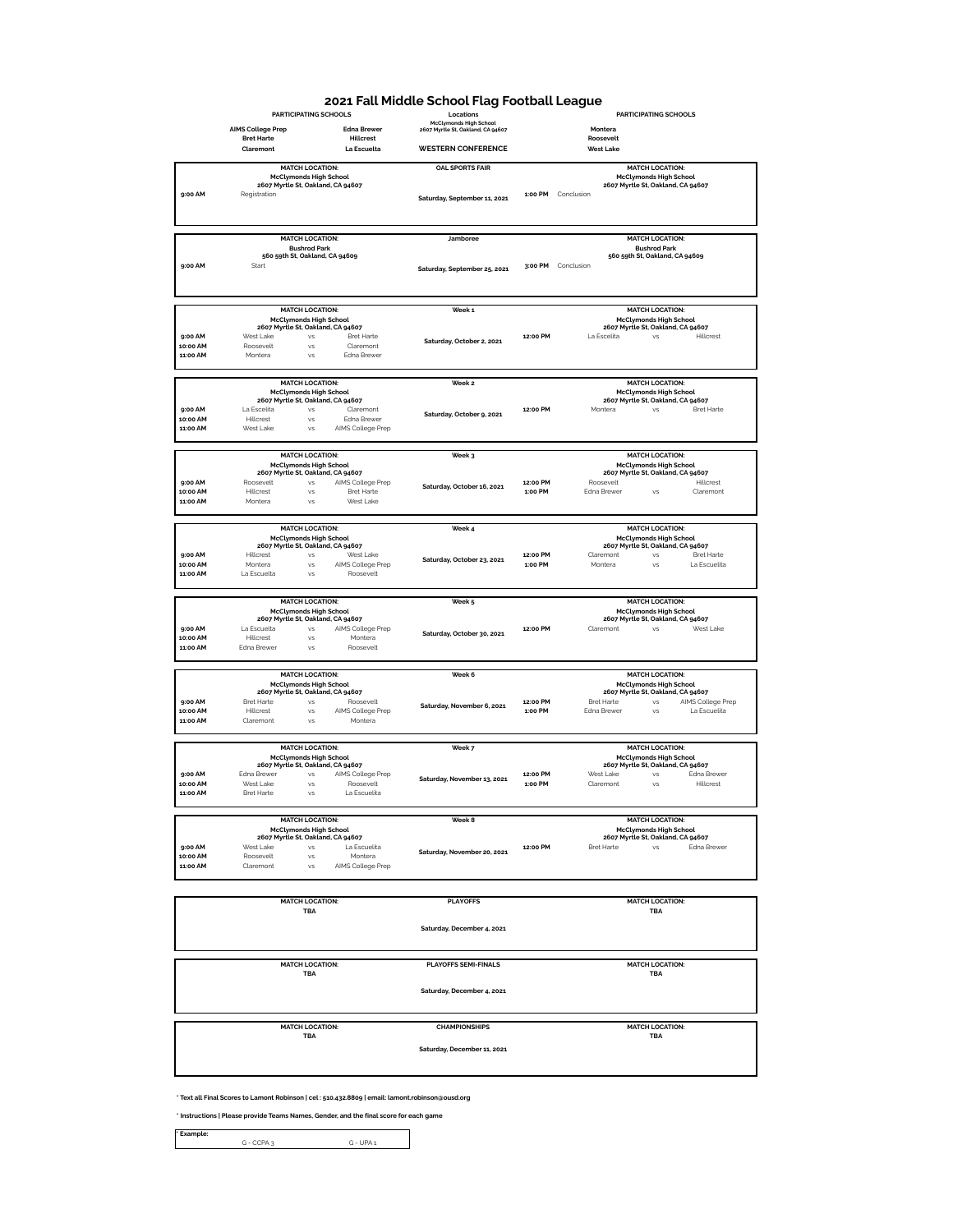## **2021 Fall Middle School Flag Football League**

|                      |                          | PARTICIPATING SCHOOLS                                              |                                | un my rooman<br>Locations                                          |                     | PARTICIPATING SCHOOLS                                                            |  |
|----------------------|--------------------------|--------------------------------------------------------------------|--------------------------------|--------------------------------------------------------------------|---------------------|----------------------------------------------------------------------------------|--|
|                      | <b>AIMS College Prep</b> |                                                                    | <b>Edna Brewer</b>             | <b>McClymonds High School</b><br>2607 Myrtle St, Oakland, CA 94607 |                     | Montera                                                                          |  |
|                      | <b>Bret Harte</b>        |                                                                    | <b>Hillcrest</b>               |                                                                    |                     | Roosevelt                                                                        |  |
|                      | Claremont                |                                                                    | La Escuelta                    | <b>WESTERN CONFERENCE</b>                                          |                     | <b>West Lake</b>                                                                 |  |
|                      |                          | <b>MATCH LOCATION:</b>                                             |                                | <b>OAL SPORTS FAIR</b>                                             |                     | <b>MATCH LOCATION:</b>                                                           |  |
|                      |                          | <b>McClymonds High School</b>                                      |                                |                                                                    |                     | <b>McClymonds High School</b>                                                    |  |
| 9:00 AM              | Registration             | 2607 Myrtle St, Oakland, CA 94607                                  |                                |                                                                    |                     | 2607 Myrtle St, Oakland, CA 94607<br>1:00 PM Conclusion                          |  |
|                      |                          |                                                                    |                                | Saturday, September 11, 2021                                       |                     |                                                                                  |  |
|                      |                          |                                                                    |                                |                                                                    |                     |                                                                                  |  |
|                      |                          |                                                                    |                                |                                                                    |                     |                                                                                  |  |
|                      |                          | <b>MATCH LOCATION:</b>                                             |                                | Jamboree                                                           |                     | <b>MATCH LOCATION:</b>                                                           |  |
|                      |                          | <b>Bushrod Park</b><br>560 59th St, Oakland, CA 94609              |                                |                                                                    |                     | <b>Bushrod Park</b><br>560 59th St, Oakland, CA 94609                            |  |
| 9:00 AM              | Start                    |                                                                    |                                | Saturday, September 25, 2021                                       |                     | 3:00 PM Conclusion                                                               |  |
|                      |                          |                                                                    |                                |                                                                    |                     |                                                                                  |  |
|                      |                          |                                                                    |                                |                                                                    |                     |                                                                                  |  |
|                      |                          | <b>MATCH LOCATION:</b>                                             |                                | Week 1                                                             |                     | <b>MATCH LOCATION:</b>                                                           |  |
|                      |                          | <b>McClymonds High School</b>                                      |                                |                                                                    |                     | <b>McClymonds High School</b>                                                    |  |
|                      |                          | 2607 Myrtle St, Oakland, CA 94607                                  |                                |                                                                    |                     | 2607 Myrtle St, Oakland, CA 94607                                                |  |
| 9:00 AM<br>10:00 AM  | West Lake<br>Roosevelt   | <b>VS</b><br>vs.                                                   | <b>Bret Harte</b><br>Claremont | Saturday, October 2, 2021                                          | 12:00 PM            | Hillcrest<br>La Escelita<br><b>VS</b>                                            |  |
| 11:00 AM             | Montera                  | VS                                                                 | Edna Brewer                    |                                                                    |                     |                                                                                  |  |
|                      |                          |                                                                    |                                |                                                                    |                     |                                                                                  |  |
|                      |                          | <b>MATCH LOCATION:</b>                                             |                                | Week <sub>2</sub>                                                  |                     | <b>MATCH LOCATION:</b>                                                           |  |
|                      |                          | <b>McClymonds High School</b><br>2607 Myrtle St, Oakland, CA 94607 |                                |                                                                    |                     | <b>McClymonds High School</b>                                                    |  |
| 9:00 AM              | La Escelita              | VS                                                                 | Claremont                      |                                                                    | 12:00 PM            | 2607 Myrtle St, Oakland, CA 94607<br><b>Bret Harte</b><br>Montera<br>VS          |  |
| MA nornt             | Hillcrest                | VS                                                                 | Edna Brewer                    | Saturday, October 9, 2021                                          |                     |                                                                                  |  |
| 11:00 AM             | West Lake                | VS                                                                 | AIMS College Prep              |                                                                    |                     |                                                                                  |  |
|                      |                          |                                                                    |                                |                                                                    |                     |                                                                                  |  |
|                      |                          | <b>MATCH LOCATION:</b><br><b>McClymonds High School</b>            |                                | Week 3                                                             |                     | <b>MATCH LOCATION:</b>                                                           |  |
|                      |                          | 2607 Myrtle St, Oakland, CA 94607                                  |                                |                                                                    |                     | <b>McClymonds High School</b><br>2607 Myrtle St, Oakland, CA 94607               |  |
| 9:00 AM              | Roosevelt                | VS                                                                 | AIMS College Prep              | Saturday, October 16, 2021                                         | 12:00 PM            | Roosevelt<br>Hillcrest                                                           |  |
| 10:00 AM<br>11:00 AM | Hillcrest<br>Montera     | VS<br><b>VS</b>                                                    | Bret Harte<br>West Lake        |                                                                    | 1:00 PM             | Edna Brewer<br><b>VS</b><br>Claremont                                            |  |
|                      |                          |                                                                    |                                |                                                                    |                     |                                                                                  |  |
|                      |                          | <b>MATCH LOCATION:</b>                                             |                                | Week 4                                                             |                     | <b>MATCH LOCATION:</b>                                                           |  |
|                      |                          | <b>McClymonds High School</b>                                      |                                |                                                                    |                     | <b>McClymonds High School</b>                                                    |  |
| 9:00 AM              | Hillcrest                | 2607 Myrtle St, Oakland, CA 94607<br><b>VS</b>                     | West Lake                      |                                                                    | 12:00 PM            | 2607 Myrtle St, Oakland, CA 94607<br><b>Bret Harte</b><br>Claremont<br><b>VS</b> |  |
| 10:00 AM             | Montera                  | VS                                                                 | AIMS College Prep              | Saturday, October 23, 2021                                         | 1:00 PM             | Montera<br>La Escuelita<br><b>VS</b>                                             |  |
| 11:00 AM             | La Escuelta              | vs                                                                 | Roosevelt                      |                                                                    |                     |                                                                                  |  |
|                      |                          |                                                                    |                                |                                                                    |                     |                                                                                  |  |
|                      |                          |                                                                    |                                |                                                                    |                     |                                                                                  |  |
|                      |                          | <b>MATCH LOCATION:</b>                                             |                                | Week 5                                                             |                     | <b>MATCH LOCATION:</b>                                                           |  |
|                      |                          | <b>McClymonds High School</b>                                      |                                |                                                                    |                     | <b>McClymonds High School</b>                                                    |  |
| 9:00 AM              | La Escuelta              | 2607 Myrtle St, Oakland, CA 94607<br>VS                            | AIMS College Prep              |                                                                    | 12:00 PM            | 2607 Myrtle St, Oakland, CA 94607<br>West Lake<br>Claremont<br>VS                |  |
| 10:00 AM             | Hillcrest                | VS                                                                 | Montera                        | Saturday, October 30, 2021                                         |                     |                                                                                  |  |
| 11:00 AM             | Edna Brewer              | VS                                                                 | Roosevelt                      |                                                                    |                     |                                                                                  |  |
|                      |                          |                                                                    |                                |                                                                    |                     |                                                                                  |  |
|                      |                          | <b>MATCH LOCATION:</b>                                             |                                | Week 6                                                             |                     | <b>MATCH LOCATION:</b>                                                           |  |
|                      |                          | <b>McClymonds High School</b><br>2607 Myrtle St, Oakland, CA 94607 |                                |                                                                    |                     | <b>McClymonds High School</b><br>2607 Myrtle St, Oakland, CA 94607               |  |
| 9:00 AM              | Bret Harte               | VS                                                                 | Roosevelt                      | Saturday, November 6, 2021                                         | 12:00 PM            | Bret Harte<br>VS<br>AIMS College Prep                                            |  |
| 10:00 AM<br>11:00 AM | Hillcrest<br>Claremont   | VS<br>VS                                                           | AIMS College Prep<br>Montera   |                                                                    | 1:00 PM             | Edna Brewer<br>VS<br>La Escuelita                                                |  |
|                      |                          |                                                                    |                                |                                                                    |                     |                                                                                  |  |
|                      |                          | <b>MATCH LOCATION:</b>                                             |                                |                                                                    |                     | <b>MATCH LOCATION:</b>                                                           |  |
|                      |                          | <b>McClymonds High School</b>                                      |                                | Week 7                                                             |                     | <b>McClymonds High School</b>                                                    |  |
|                      |                          | 2607 Myrtle St, Oakland, CA 94607                                  |                                |                                                                    |                     | 2607 Myrtle St, Oakland, CA 94607                                                |  |
| 9:00 AM<br>10:00 AM  | Edna Brewer<br>West Lake | VS<br><b>VS</b>                                                    | AIMS College Prep<br>Roosevelt | Saturday, November 13, 2021                                        | 12:00 PM<br>1:00 PM | Edna Brewer<br>West Lake<br>VS<br>Hillcrest<br>Claremont<br><b>VS</b>            |  |
| 11:00 AM             | <b>Bret Harte</b>        | <b>VS</b>                                                          | La Escuelita                   |                                                                    |                     |                                                                                  |  |
|                      |                          |                                                                    |                                |                                                                    |                     |                                                                                  |  |
|                      |                          | <b>MATCH LOCATION:</b>                                             |                                | Week 8                                                             |                     | <b>MATCH LOCATION:</b>                                                           |  |
|                      |                          | <b>McClymonds High School</b><br>2607 Myrtle St, Oakland, CA 94607 |                                |                                                                    |                     | <b>McClymonds High School</b><br>2607 Myrtle St, Oakland, CA 94607               |  |
| 9:00 AM              | West Lake                | vs                                                                 | La Escuelita                   | Saturday, November 20, 2021                                        | 12:00 PM            | Edna Brewer<br><b>Bret Harte</b><br>vs                                           |  |
| 10:00 AM             | Roosevelt                | <b>VS</b>                                                          | Montera                        |                                                                    |                     |                                                                                  |  |
| 11:00 AM             | Claremont                | <b>VS</b>                                                          | AIMS College Prep              |                                                                    |                     |                                                                                  |  |
|                      |                          |                                                                    |                                |                                                                    |                     |                                                                                  |  |
|                      |                          | <b>MATCH LOCATION:</b>                                             |                                | <b>PLAYOFFS</b>                                                    |                     | <b>MATCH LOCATION:</b>                                                           |  |
|                      |                          | <b>TBA</b>                                                         |                                |                                                                    |                     | <b>TBA</b>                                                                       |  |
|                      |                          |                                                                    |                                | Saturday, December 4, 2021                                         |                     |                                                                                  |  |
|                      |                          |                                                                    |                                |                                                                    |                     |                                                                                  |  |
|                      |                          |                                                                    |                                |                                                                    |                     |                                                                                  |  |
|                      |                          | <b>MATCH LOCATION:</b>                                             |                                | <b>PLAYOFFS SEMI-FINALS</b>                                        |                     | <b>MATCH LOCATION:</b>                                                           |  |
|                      |                          | TBA                                                                |                                |                                                                    |                     | TBA                                                                              |  |
|                      |                          |                                                                    |                                | Saturday, December 4, 2021                                         |                     |                                                                                  |  |
|                      |                          |                                                                    |                                |                                                                    |                     |                                                                                  |  |
|                      |                          |                                                                    |                                |                                                                    |                     |                                                                                  |  |
|                      |                          | <b>MATCH LOCATION:</b>                                             |                                | <b>CHAMPIONSHIPS</b>                                               |                     | <b>MATCH LOCATION:</b>                                                           |  |
|                      |                          | TBA                                                                |                                |                                                                    |                     | TBA                                                                              |  |
|                      |                          |                                                                    |                                | Saturday, December 11, 2021                                        |                     |                                                                                  |  |
|                      |                          |                                                                    |                                |                                                                    |                     |                                                                                  |  |

**\* Text all Final Scores to Lamont Robinson | cel : 510.432.8809 | email: lamont.robinson@ousd.org** 

**\* Instructions | Please provide Teams Names, Gender, and the final score for each game**